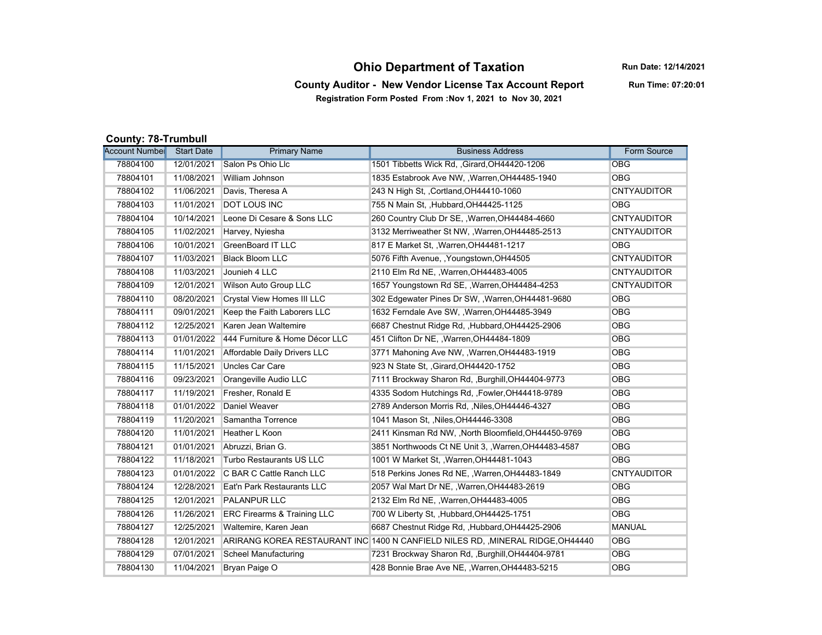## **Ohio Department of Taxation**

**Run Date: 12/14/2021**

## **County Auditor - New Vendor License Tax Account Report Registration Form Posted From :Nov 1, 2021 to Nov 30, 2021**

**Run Time: 07:20:01**

## **County: 78-Trumbull**

| <b>Account Number</b> | <b>Start Date</b> | <b>Primary Name</b>                    | <b>Business Address</b>                                                         | Form Source        |
|-----------------------|-------------------|----------------------------------------|---------------------------------------------------------------------------------|--------------------|
| 78804100              | 12/01/2021        | Salon Ps Ohio Llc                      | 1501 Tibbetts Wick Rd, , Girard, OH44420-1206                                   | <b>OBG</b>         |
| 78804101              | 11/08/2021        | William Johnson                        | 1835 Estabrook Ave NW, , Warren, OH44485-1940                                   | <b>OBG</b>         |
| 78804102              | 11/06/2021        | Davis, Theresa A                       | 243 N High St. . Cortland. OH44410-1060                                         | <b>CNTYAUDITOR</b> |
| 78804103              | 11/01/2021        | <b>DOT LOUS INC</b>                    | 755 N Main St, , Hubbard, OH44425-1125                                          | <b>OBG</b>         |
| 78804104              | 10/14/2021        | Leone Di Cesare & Sons LLC             | 260 Country Club Dr SE, , Warren, OH44484-4660                                  | <b>CNTYAUDITOR</b> |
| 78804105              | 11/02/2021        | Harvey, Nyiesha                        | 3132 Merriweather St NW, , Warren, OH44485-2513                                 | <b>CNTYAUDITOR</b> |
| 78804106              | 10/01/2021        | <b>GreenBoard IT LLC</b>               | 817 E Market St., Warren, OH44481-1217                                          | <b>OBG</b>         |
| 78804107              | 11/03/2021        | <b>Black Bloom LLC</b>                 | 5076 Fifth Avenue, , Youngstown, OH44505                                        | <b>CNTYAUDITOR</b> |
| 78804108              | 11/03/2021        | Jounieh 4 LLC                          | 2110 Elm Rd NE, , Warren, OH44483-4005                                          | <b>CNTYAUDITOR</b> |
| 78804109              | 12/01/2021        | <b>Wilson Auto Group LLC</b>           | 1657 Youngstown Rd SE, , Warren, OH44484-4253                                   | <b>CNTYAUDITOR</b> |
| 78804110              | 08/20/2021        | <b>Crystal View Homes III LLC</b>      | 302 Edgewater Pines Dr SW, , Warren, OH44481-9680                               | <b>OBG</b>         |
| 78804111              | 09/01/2021        | Keep the Faith Laborers LLC            | 1632 Ferndale Ave SW, , Warren, OH44485-3949                                    | <b>OBG</b>         |
| 78804112              | 12/25/2021        | Karen Jean Waltemire                   | 6687 Chestnut Ridge Rd, , Hubbard, OH44425-2906                                 | <b>OBG</b>         |
| 78804113              | 01/01/2022        | 444 Furniture & Home Décor LLC         | 451 Clifton Dr NE, , Warren, OH44484-1809                                       | <b>OBG</b>         |
| 78804114              | 11/01/2021        | Affordable Daily Drivers LLC           | 3771 Mahoning Ave NW, , Warren, OH44483-1919                                    | <b>OBG</b>         |
| 78804115              | 11/15/2021        | <b>Uncles Car Care</b>                 | 923 N State St, , Girard, OH44420-1752                                          | <b>OBG</b>         |
| 78804116              | 09/23/2021        | Orangeville Audio LLC                  | 7111 Brockway Sharon Rd, , Burghill, OH44404-9773                               | <b>OBG</b>         |
| 78804117              | 11/19/2021        | Fresher, Ronald E                      | 4335 Sodom Hutchings Rd., Fowler, OH44418-9789                                  | <b>OBG</b>         |
| 78804118              | 01/01/2022        | Daniel Weaver                          | 2789 Anderson Morris Rd., Niles, OH44446-4327                                   | <b>OBG</b>         |
| 78804119              | 11/20/2021        | Samantha Torrence                      | 1041 Mason St, , Niles, OH44446-3308                                            | <b>OBG</b>         |
| 78804120              | 11/01/2021        | Heather L Koon                         | 2411 Kinsman Rd NW, , North Bloomfield, OH44450-9769                            | <b>OBG</b>         |
| 78804121              | 01/01/2021        | Abruzzi, Brian G.                      | 3851 Northwoods Ct NE Unit 3, , Warren, OH44483-4587                            | <b>OBG</b>         |
| 78804122              | 11/18/2021        | Turbo Restaurants US LLC               | 1001 W Market St., Warren, OH44481-1043                                         | <b>OBG</b>         |
| 78804123              | 01/01/2022        | C BAR C Cattle Ranch LLC               | 518 Perkins Jones Rd NE. Warren. OH44483-1849                                   | <b>CNTYAUDITOR</b> |
| 78804124              | 12/28/2021        | Eat'n Park Restaurants LLC             | 2057 Wal Mart Dr NE, , Warren, OH44483-2619                                     | <b>OBG</b>         |
| 78804125              | 12/01/2021        | <b>PALANPUR LLC</b>                    | 2132 Elm Rd NE, , Warren, OH44483-4005                                          | <b>OBG</b>         |
| 78804126              | 11/26/2021        | <b>ERC Firearms &amp; Training LLC</b> | 700 W Liberty St., Hubbard, OH44425-1751                                        | <b>OBG</b>         |
| 78804127              | 12/25/2021        | Waltemire, Karen Jean                  | 6687 Chestnut Ridge Rd, Hubbard, OH44425-2906                                   | <b>MANUAL</b>      |
| 78804128              | 12/01/2021        |                                        | ARIRANG KOREA RESTAURANT INC 1400 N CANFIELD NILES RD, , MINERAL RIDGE, OH44440 | <b>OBG</b>         |
| 78804129              | 07/01/2021        | <b>Scheel Manufacturing</b>            | 7231 Brockway Sharon Rd., Burghill, OH44404-9781                                | <b>OBG</b>         |
| 78804130              | 11/04/2021        | Bryan Paige O                          | 428 Bonnie Brae Ave NE, , Warren, OH44483-5215                                  | <b>OBG</b>         |